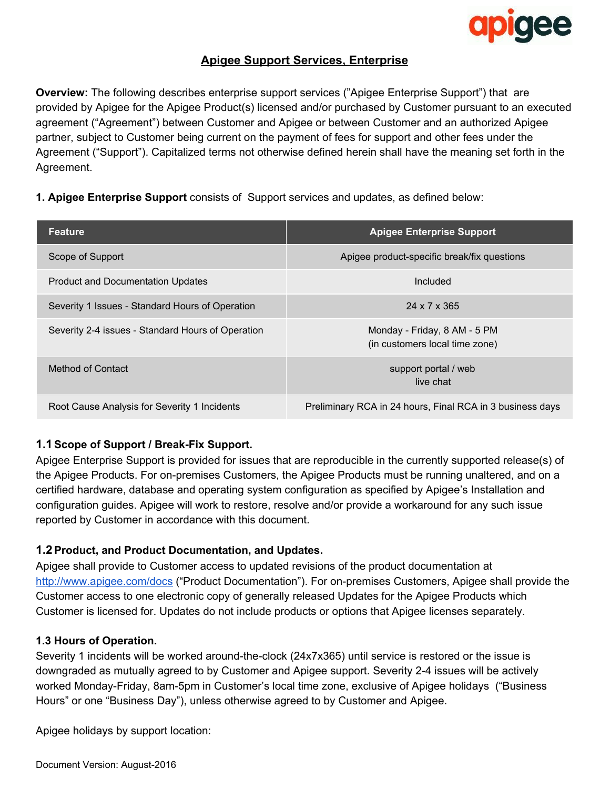

# **Apigee Support Services, Enterprise**

**Overview:** The following describes enterprise support services ("Apigee Enterprise Support") that are provided by Apigee for the Apigee Product(s) licensed and/or purchased by Customer pursuant to an executed agreement ("Agreement") between Customer and Apigee or between Customer and an authorized Apigee partner, subject to Customer being current on the payment of fees for support and other fees under the Agreement ("Support"). Capitalized terms not otherwise defined herein shall have the meaning set forth in the Agreement.

**1. Apigee Enterprise Support** consists of Support services and updates, as defined below:

| <b>Feature</b>                                    | <b>Apigee Enterprise Support</b>                               |
|---------------------------------------------------|----------------------------------------------------------------|
| Scope of Support                                  | Apigee product-specific break/fix questions                    |
| <b>Product and Documentation Updates</b>          | Included                                                       |
| Severity 1 Issues - Standard Hours of Operation   | 24 x 7 x 365                                                   |
| Severity 2-4 issues - Standard Hours of Operation | Monday - Friday, 8 AM - 5 PM<br>(in customers local time zone) |
| Method of Contact                                 | support portal / web<br>live chat                              |
| Root Cause Analysis for Severity 1 Incidents      | Preliminary RCA in 24 hours, Final RCA in 3 business days      |

# 1.1 Scope of Support / Break-Fix Support.

Apigee Enterprise Support is provided for issues that are reproducible in the currently supported release(s) of the Apigee Products. For on-premises Customers, the Apigee Products must be running unaltered, and on a certified hardware, database and operating system configuration as specified by Apigee's Installation and configuration guides. Apigee will work to restore, resolve and/or provide a workaround for any such issue reported by Customer in accordance with this document.

# **1.2Product, and Product Documentation, and Updates.**

Apigee shall provide to Customer access to updated revisions of the product documentation a[t](http://www.apigee.com/docs) <http://www.apigee.com/docs> ("Product [Documentation"\).](http://www.apigee.com/docs) For on-premises Customers, Apigee shall provide the Customer access to one electronic copy of generally released Updates for the Apigee Products which Customer is licensed for. Updates do not include products or options that Apigee licenses separately.

# **1.3 Hours of Operation.**

Severity 1 incidents will be worked around-the-clock (24x7x365) until service is restored or the issue is downgraded as mutually agreed to by Customer and Apigee support. Severity 2-4 issues will be actively worked Monday-Friday, 8am-5pm in Customer's local time zone, exclusive of Apigee holidays ("Business") Hours" or one "Business Day"), unless otherwise agreed to by Customer and Apigee.

Apigee holidays by support location: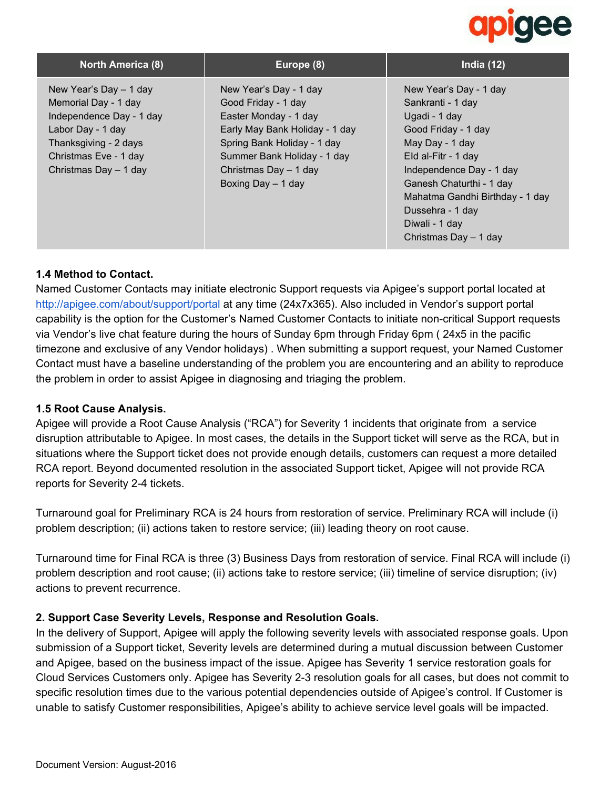

| <b>North America (8)</b>                                                                                                                                                   | Europe (8)                                                                                                                                                                                                            | India $(12)$                                                                                                                                                                                                                                                                            |
|----------------------------------------------------------------------------------------------------------------------------------------------------------------------------|-----------------------------------------------------------------------------------------------------------------------------------------------------------------------------------------------------------------------|-----------------------------------------------------------------------------------------------------------------------------------------------------------------------------------------------------------------------------------------------------------------------------------------|
| New Year's Day - 1 day<br>Memorial Day - 1 day<br>Independence Day - 1 day<br>Labor Day - 1 day<br>Thanksgiving - 2 days<br>Christmas Eve - 1 day<br>Christmas Day - 1 day | New Year's Day - 1 day<br>Good Friday - 1 day<br>Easter Monday - 1 day<br>Early May Bank Holiday - 1 day<br>Spring Bank Holiday - 1 day<br>Summer Bank Holiday - 1 day<br>Christmas Day - 1 day<br>Boxing Day - 1 day | New Year's Day - 1 day<br>Sankranti - 1 day<br>Ugadi - 1 day<br>Good Friday - 1 day<br>May Day - 1 day<br>Eld al-Fitr - 1 day<br>Independence Day - 1 day<br>Ganesh Chaturthi - 1 day<br>Mahatma Gandhi Birthday - 1 day<br>Dussehra - 1 day<br>Diwali - 1 day<br>Christmas Day - 1 day |

## **1.4 Method to Contact.**

Named Customer Contacts may initiate electronic Support requests via Apigee's support portal located a[t](http://apigee.com/about/support/portal) <http://apigee.com/about/support/portal> at any time (24x7x365). Also included in Vendor's support portal capability is the option for the Customer's Named Customer Contacts to initiate non-critical Support requests via Vendor's live chat feature during the hours of Sunday 6pm through Friday 6pm ( 24x5 in the pacific timezone and exclusive of any Vendor holidays) . When submitting a support request, your Named Customer Contact must have a baseline understanding of the problem you are encountering and an ability to reproduce the problem in order to assist Apigee in diagnosing and triaging the problem.

### **1.5 Root Cause Analysis.**

Apigee will provide a Root Cause Analysis ("RCA") for Severity 1 incidents that originate from a service disruption attributable to Apigee. In most cases, the details in the Support ticket will serve as the RCA, but in situations where the Support ticket does not provide enough details, customers can request a more detailed RCA report. Beyond documented resolution in the associated Support ticket, Apigee will not provide RCA reports for Severity 2-4 tickets.

Turnaround goal for Preliminary RCA is 24 hours from restoration of service. Preliminary RCA will include (i) problem description; (ii) actions taken to restore service; (iii) leading theory on root cause.

Turnaround time for Final RCA is three (3) Business Days from restoration of service. Final RCA will include (i) problem description and root cause; (ii) actions take to restore service; (iii) timeline of service disruption; (iv) actions to prevent recurrence.

### **2. Support Case Severity Levels, Response and Resolution Goals.**

In the delivery of Support, Apigee will apply the following severity levels with associated response goals. Upon submission of a Support ticket, Severity levels are determined during a mutual discussion between Customer and Apigee, based on the business impact of the issue. Apigee has Severity 1 service restoration goals for Cloud Services Customers only. Apigee has Severity 2-3 resolution goals for all cases, but does not commit to specific resolution times due to the various potential dependencies outside of Apigee's control. If Customer is unable to satisfy Customer responsibilities, Apigee's ability to achieve service level goals will be impacted.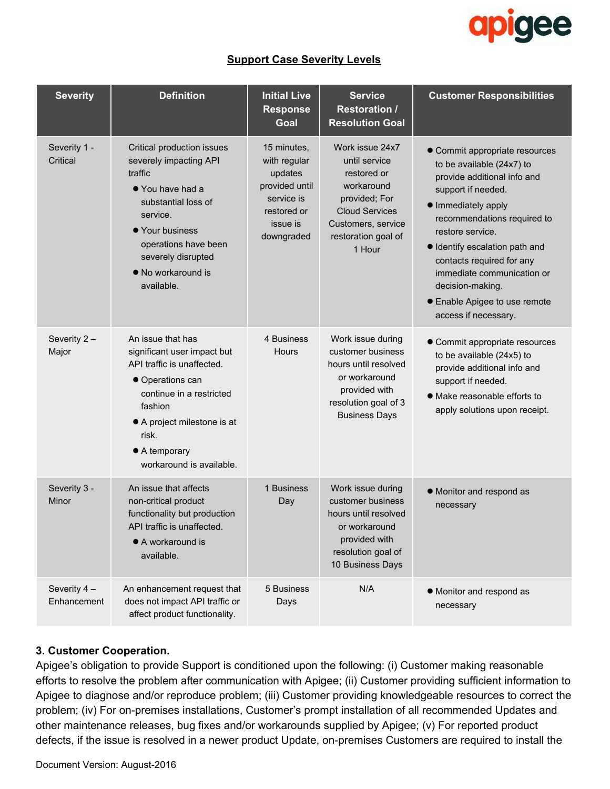

# **Support Case Severity Levels**

| <b>Severity</b>             | <b>Definition</b>                                                                                                                                                                                                              | <b>Initial Live</b><br><b>Response</b><br>Goal                                                                  | <b>Service</b><br><b>Restoration /</b><br><b>Resolution Goal</b>                                                                                               | <b>Customer Responsibilities</b>                                                                                                                                                                                                                                                                                                                                     |
|-----------------------------|--------------------------------------------------------------------------------------------------------------------------------------------------------------------------------------------------------------------------------|-----------------------------------------------------------------------------------------------------------------|----------------------------------------------------------------------------------------------------------------------------------------------------------------|----------------------------------------------------------------------------------------------------------------------------------------------------------------------------------------------------------------------------------------------------------------------------------------------------------------------------------------------------------------------|
| Severity 1 -<br>Critical    | Critical production issues<br>severely impacting API<br>traffic<br>• You have had a<br>substantial loss of<br>service.<br>• Your business<br>operations have been<br>severely disrupted<br>• No workaround is<br>available.    | 15 minutes,<br>with regular<br>updates<br>provided until<br>service is<br>restored or<br>issue is<br>downgraded | Work issue 24x7<br>until service<br>restored or<br>workaround<br>provided; For<br><b>Cloud Services</b><br>Customers, service<br>restoration goal of<br>1 Hour | • Commit appropriate resources<br>to be available (24x7) to<br>provide additional info and<br>support if needed.<br>• Immediately apply<br>recommendations required to<br>restore service.<br>· Identify escalation path and<br>contacts required for any<br>immediate communication or<br>decision-making.<br>• Enable Apigee to use remote<br>access if necessary. |
| Severity 2-<br>Major        | An issue that has<br>significant user impact but<br>API traffic is unaffected.<br>• Operations can<br>continue in a restricted<br>fashion<br>• A project milestone is at<br>risk.<br>• A temporary<br>workaround is available. | 4 Business<br>Hours                                                                                             | Work issue during<br>customer business<br>hours until resolved<br>or workaround<br>provided with<br>resolution goal of 3<br><b>Business Days</b>               | • Commit appropriate resources<br>to be available (24x5) to<br>provide additional info and<br>support if needed.<br>• Make reasonable efforts to<br>apply solutions upon receipt.                                                                                                                                                                                    |
| Severity 3 -<br>Minor       | An issue that affects<br>non-critical product<br>functionality but production<br>API traffic is unaffected.<br>• A workaround is<br>available.                                                                                 | 1 Business<br>Day                                                                                               | Work issue during<br>customer business<br>hours until resolved<br>or workaround<br>provided with<br>resolution goal of<br>10 Business Days                     | · Monitor and respond as<br>necessary                                                                                                                                                                                                                                                                                                                                |
| Severity 4 -<br>Enhancement | An enhancement request that<br>does not impact API traffic or<br>affect product functionality.                                                                                                                                 | 5 Business<br>Days                                                                                              | N/A                                                                                                                                                            | • Monitor and respond as<br>necessary                                                                                                                                                                                                                                                                                                                                |

### **3. Customer Cooperation.**

Apigee's obligation to provide Support is conditioned upon the following: (i) Customer making reasonable efforts to resolve the problem after communication with Apigee; (ii) Customer providing sufficient information to Apigee to diagnose and/or reproduce problem; (iii) Customer providing knowledgeable resources to correct the problem; (iv) For on-premises installations, Customer's prompt installation of all recommended Updates and other maintenance releases, bug fixes and/or workarounds supplied by Apigee; (v) For reported product defects, if the issue is resolved in a newer product Update, on-premises Customers are required to install the